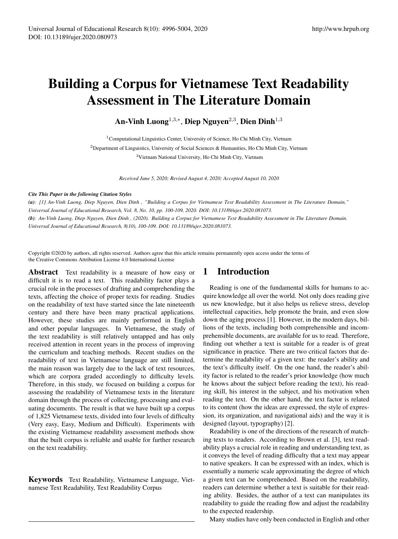# Building a Corpus for Vietnamese Text Readability Assessment in The Literature Domain

An-Vinh Luong $^{1,3,\ast},$  Diep Nguyen $^{2,3},$  Dien Dinh $^{1,3}$ 

<sup>1</sup> Computational Linguistics Center, University of Science, Ho Chi Minh City, Vietnam <sup>2</sup>Department of Linguistics, University of Social Sciences & Humanities, Ho Chi Minh City, Vietnam <sup>3</sup>Vietnam National University, Ho Chi Minh City, Vietnam

*Received June 5, 2020; Revised August 4, 2020; Accepted August 10, 2020*

#### *Cite This Paper in the following Citation Styles*

(a): [1] An-Vinh Luong, Diep Nguyen, Dien Dinh, "Building a Corpus for Vietnamese Text Readability Assessment in The Literature Domain," *Universal Journal of Educational Research, Vol. 8, No. 10, pp. 100-109, 2020. DOI: 10.13189/ujer.2020.081073.* (b): An-Vinh Luong, Diep Nguyen, Dien Dinh, (2020). Building a Corpus for Vietnamese Text Readability Assessment in The Literature Domain. *Universal Journal of Educational Research, 8(10), 100-109. DOI: 10.13189/ujer.2020.081073.*

Copyright ©2020 by authors, all rights reserved. Authors agree that this article remains permanently open access under the terms of the Creative Commons Attribution License 4.0 International License

Abstract Text readability is a measure of how easy or difficult it is to read a text. This readability factor plays a crucial role in the processes of drafting and comprehending the texts, affecting the choice of proper texts for reading. Studies on the readability of text have started since the late nineteenth century and there have been many practical applications. However, these studies are mainly performed in English and other popular languages. In Vietnamese, the study of the text readability is still relatively untapped and has only received attention in recent years in the process of improving the curriculum and teaching methods. Recent studies on the readability of text in Vietnamese language are still limited, the main reason was largely due to the lack of text resources, which are corpora graded accordingly to difficulty levels. Therefore, in this study, we focused on building a corpus for assessing the readability of Vietnamese texts in the literature domain through the process of collecting, processing and evaluating documents. The result is that we have built up a corpus of 1,825 Vietnamese texts, divided into four levels of difficulty (Very easy, Easy, Medium and Difficult). Experiments with the existing Vietnamese readability assessment methods show that the built corpus is reliable and usable for further research on the text readability.

Keywords Text Readability, Vietnamese Language, Vietnamese Text Readability, Text Readability Corpus

# 1 Introduction

Reading is one of the fundamental skills for humans to acquire knowledge all over the world. Not only does reading give us new knowledge, but it also helps us relieve stress, develop intellectual capacities, help promote the brain, and even slow down the aging process [1]. However, in the modern days, billions of the texts, including both comprehensible and incomprehensible documents, are available for us to read. Therefore, finding out whether a text is suitable for a reader is of great significance in practice. There are two critical factors that determine the readability of a given text: the reader's ability and the text's difficulty itself. On the one hand, the reader's ability factor is related to the reader's prior knowledge (how much he knows about the subject before reading the text), his reading skill, his interest in the subject, and his motivation when reading the text. On the other hand, the text factor is related to its content (how the ideas are expressed, the style of expression, its organization, and navigational aids) and the way it is designed (layout, typography) [2].

Readability is one of the directions of the research of matching texts to readers. According to Brown et al. [3], text readability plays a crucial role in reading and understanding text, as it conveys the level of reading difficulty that a text may appear to native speakers. It can be expressed with an index, which is essentially a numeric scale approximating the degree of which a given text can be comprehended. Based on the readability, readers can determine whether a text is suitable for their reading ability. Besides, the author of a text can manipulates its readability to guide the reading flow and adjust the readability to the expected readership.

Many studies have only been conducted in English and other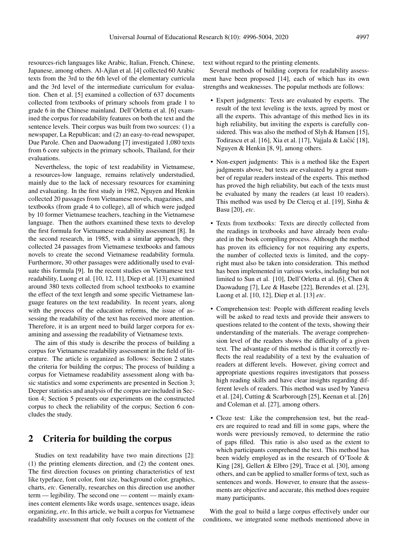resources-rich languages like Arabic, Italian, French, Chinese, Japanese, among others. Al-Ajlan et al. [4] collected 60 Arabic texts from the 3rd to the 6th level of the elementary curricula and the 3rd level of the intermediate curriculum for evaluation. Chen et al. [5] examined a collection of 637 documents collected from textbooks of primary schools from grade 1 to grade 6 in the Chinese mainland. Dell'Orletta et al. [6] examined the corpus for readability features on both the text and the sentence levels. Their corpus was built from two sources: (1) a newspaper, La Republican; and (2) an easy-to-read newspaper, Due Parole. Chen and Daowadung [7] investigated 1,080 texts from 6 core subjects in the primary schools, Thailand, for their evaluations.

Nevertheless, the topic of text readability in Vietnamese, a resources-low language, remains relatively understudied, mainly due to the lack of necessary resources for examining and evaluating. In the first study in 1982, Nguyen and Henkin collected 20 passages from Vietnamese novels, magazines, and textbooks (from grade 4 to college), all of which were judged by 10 former Vietnamese teachers, teaching in the Vietnamese language. Then the authors examined these texts to develop the first formula for Vietnamese readability assessment [8]. In the second research, in 1985, with a similar approach, they collected 24 passages from Vietnamese textbooks and famous novels to create the second Vietnamese readability formula. Furthermore, 30 other passages were additionally used to evaluate this formula [9]. In the recent studies on Vietnamese text readability, Luong et al. [10, 12, 11], Diep et al. [13] examined around 380 texts collected from school textbooks to examine the effect of the text length and some specific Vietnamese language features on the text readability. In recent years, along with the process of the education reforms, the issue of assessing the readability of the text has received more attention. Therefore, it is an urgent need to build larger corpora for examining and assessing the readability of Vietnamese texts.

The aim of this study is describe the process of building a corpus for Vietnamese readability assessment in the field of literature. The article is organized as follows: Section 2 states the criteria for building the corpus; The process of building a corpus for Vietnamese readability assessment along with basic statistics and some experiments are presented in Section 3; Deeper statistics and analysis of the corpus are included in Section 4; Section 5 presents our experiments on the constructed corpus to check the reliability of the corpus; Section 6 concludes the study.

## 2 Criteria for building the corpus

Studies on text readability have two main directions [2]: (1) the printing elements direction, and (2) the content ones. The first direction focuses on printing characteristics of text like typeface, font color, font size, background color, graphics, charts, *etc*. Generally, researches on this direction use another term — legibility. The second one — content — mainly examines content elements like words usage, sentences usage, ideas organizing, *etc*. In this article, we built a corpus for Vietnamese readability assessment that only focuses on the content of the

text without regard to the printing elements.

Several methods of building corpora for readability assessment have been proposed [14], each of which has its own strengths and weaknesses. The popular methods are follows:

- Expert judgments: Texts are evaluated by experts. The result of the text leveling is the texts, agreed by most or all the experts. This advantage of this method lies in its high reliability, but inviting the experts is carefully considered. This was also the method of Slyh & Hansen [15], Todirascu et al. [16], Xia et al. [17], Vajjala & Lučić [18], Nguyen & Henkin [8, 9], among others.
- Non-expert judgments: This is a method like the Expert judgments above, but texts are evaluated by a great number of regular readers instead of the experts. This method has proved the high reliability, but each of the texts must be evaluated by many the readers (at least 10 readers). This method was used by De Clercq et al. [19], Sinha & Basu [20], *etc*.
- Texts from textbooks: Texts are directly collected from the readings in textbooks and have already been evaluated in the book compiling process. Although the method has proven its efficiency for not requiring any experts, the number of collected texts is limited, and the copyright must also be taken into consideration. This method has been implemented in various works, including but not limited to Sun et al. [10], Dell'Orletta et al. [6], Chen & Daowadung [7], Lee & Hasebe [22], Berendes et al. [23], Luong et al. [10, 12], Diep et al. [13] *etc*.
- Comprehension test: People with different reading levels will be asked to read texts and provide their answers to questions related to the content of the texts, showing their understanding of the materials. The average comprehension level of the readers shows the difficulty of a given text. The advantage of this method is that it correctly reflects the real readability of a text by the evaluation of readers at different levels. However, giving correct and appropriate questions requires investigators that possess high reading skills and have clear insights regarding different levels of readers. This method was used by Yaneva et al. [24], Cutting & Scarborough [25], Keenan et al. [26] and Coleman et al. [27], among others.
- Cloze test: Like the comprehension test, but the readers are required to read and fill in some gaps, where the words were previously removed, to determine the ratio of gaps filled. This ratio is also used as the extent to which participants comprehend the text. This method has been widely employed as in the research of O'Toole & King [28], Gellert & Elbro [29], Trace et al. [30], among others, and can be applied to smaller forms of text, such as sentences and words. However, to ensure that the assessments are objective and accurate, this method does require many participants.

With the goal to build a large corpus effectively under our conditions, we integrated some methods mentioned above in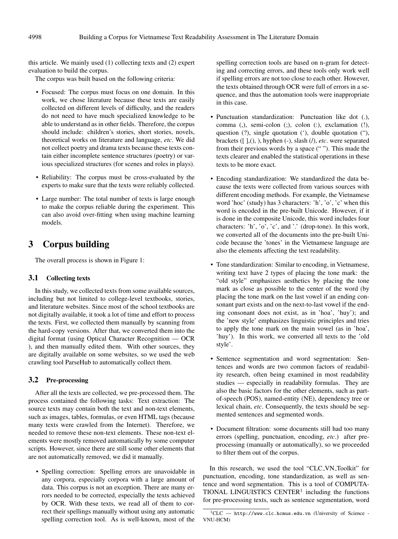this article. We mainly used (1) collecting texts and (2) expert evaluation to build the corpus.

The corpus was built based on the following criteria:

- Focused: The corpus must focus on one domain. In this work, we chose literature because these texts are easily collected on different levels of difficulty, and the readers do not need to have much specialized knowledge to be able to understand as in other fields. Therefore, the corpus should include: children's stories, short stories, novels, theoretical works on literature and language, *etc*. We did not collect poetry and drama texts because these texts contain either incomplete sentence structures (poetry) or various specialized structures (for scenes and roles in plays).
- Reliability: The corpus must be cross-evaluated by the experts to make sure that the texts were reliably collected.
- Large number: The total number of texts is large enough to make the corpus reliable during the experiment. This can also avoid over-fitting when using machine learning models.

## 3 Corpus building

The overall process is shown in Figure 1:

#### 3.1 Collecting texts

In this study, we collected texts from some available sources, including but not limited to college-level textbooks, stories, and literature websites. Since most of the school textbooks are not digitally available, it took a lot of time and effort to process the texts. First, we collected them manually by scanning from the hard-copy versions. After that, we converted them into the digital format (using Optical Character Recognition — OCR ), and then manually edited them. With other sources, they are digitally available on some websites, so we used the web crawling tool ParseHub to automatically collect them.

### 3.2 Pre-processing

After all the texts are collected, we pre-processed them. The process contained the following tasks: Text extraction: The source texts may contain both the text and non-text elements, such as images, tables, formulas, or even HTML tags (because many texts were crawled from the Internet). Therefore, we needed to remove these non-text elements. These non-text elements were mostly removed automatically by some computer scripts. However, since there are still some other elements that are not automatically removed, we did it manually.

• Spelling correction: Spelling errors are unavoidable in any corpora, especially corpora with a large amount of data. This corpus is not an exception. There are many errors needed to be corrected, especially the texts achieved by OCR. With these texts, we read all of them to correct their spellings manually without using any automatic spelling correction tool. As is well-known, most of the

spelling correction tools are based on n-gram for detecting and correcting errors, and these tools only work well if spelling errors are not too close to each other. However, the texts obtained through OCR were full of errors in a sequence, and thus the automation tools were inappropriate in this case.

- Punctuation standardization: Punctuation like dot (.), comma (,), semi-colon (;), colon (:), exclamation (!), question (?), single quotation ('), double quotation ("), brackets ([ ],(), ), hyphen (-), slash (/), *etc*. were separated from their previous words by a space (" "). This made the texts clearer and enabled the statistical operations in these texts to be more exact.
- Encoding standardization: We standardized the data because the texts were collected from various sources with different encoding methods. For example, the Vietnamese word 'hoc' (study) has 3 characters: 'h', 'o', 'c' when this word is encoded in the pre-built Unicode. However, if it is done in the composite Unicode, this word includes four characters: 'h', 'o', 'c', and '.' (drop-tone). In this work, we converted all of the documents into the pre-built Unicode because the 'tones' in the Vietnamese language are also the elements affecting the text readability.
- Tone standardization: Similar to encoding, in Vietnamese, writing text have 2 types of placing the tone mark: the "old style" emphasizes aesthetics by placing the tone mark as close as possible to the center of the word (by placing the tone mark on the last vowel if an ending consonant part exists and on the next-to-last vowel if the ending consonant does not exist, as in 'hoa', 'huy'); and the 'new style' emphasizes linguistic principles and tries to apply the tone mark on the main vowel (as in 'hoa', 'huy'). In this work, we converted all texts to the 'old style'.
- Sentence segmentation and word segmentation: Sentences and words are two common factors of readability research, often being examined in most readability studies — especially in readability formulas. They are also the basic factors for the other elements, such as partof-speech (POS), named-entity (NE), dependency tree or lexical chain, *etc*. Consequently, the texts should be segmented sentences and segmented words.
- Document filtration: some documents still had too many errors (spelling, punctuation, encoding, *etc*.) after preprocessing (manually or automatically), so we proceeded to filter them out of the corpus.

In this research, we used the tool "CLC VN Toolkit" for punctuation, encoding, tone standardization, as well as sentence and word segmentation. This is a tool of COMPUTA-TIONAL LINGUISTICS CENTER<sup>1</sup> including the functions for pre-processing texts, such as sentence segmentation, word

 ${}^{1}CLC$   $-$  http://www.clc.hcmus.edu.vn (University of Science -VNU-HCM)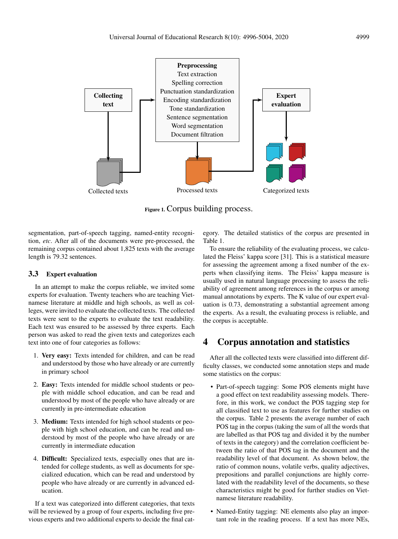

Figure 1. Corpus building process.

segmentation, part-of-speech tagging, named-entity recognition, *etc*. After all of the documents were pre-processed, the remaining corpus contained about 1,825 texts with the average length is 79.32 sentences.

## 3.3 Expert evaluation

In an attempt to make the corpus reliable, we invited some experts for evaluation. Twenty teachers who are teaching Vietnamese literature at middle and high schools, as well as colleges, were invited to evaluate the collected texts. The collected texts were sent to the experts to evaluate the text readability. Each text was ensured to be assessed by three experts. Each person was asked to read the given texts and categorizes each text into one of four categories as follows:

- 1. Very easy: Texts intended for children, and can be read and understood by those who have already or are currently in primary school
- 2. Easy: Texts intended for middle school students or people with middle school education, and can be read and understood by most of the people who have already or are currently in pre-intermediate education
- 3. Medium: Texts intended for high school students or people with high school education, and can be read and understood by most of the people who have already or are currently in intermediate education
- 4. Difficult: Specialized texts, especially ones that are intended for college students, as well as documents for specialized education, which can be read and understood by people who have already or are currently in advanced education.

If a text was categorized into different categories, that texts will be reviewed by a group of four experts, including five previous experts and two additional experts to decide the final cat-

egory. The detailed statistics of the corpus are presented in Table 1.

To ensure the reliability of the evaluating process, we calculated the Fleiss' kappa score [31]. This is a statistical measure for assessing the agreement among a fixed number of the experts when classifying items. The Fleiss' kappa measure is usually used in natural language processing to assess the reliability of agreement among references in the corpus or among manual annotations by experts. The K value of our expert evaluation is 0.73, demonstrating a substantial agreement among the experts. As a result, the evaluating process is reliable, and the corpus is acceptable.

# 4 Corpus annotation and statistics

After all the collected texts were classified into different difficulty classes, we conducted some annotation steps and made some statistics on the corpus:

- Part-of-speech tagging: Some POS elements might have a good effect on text readability assessing models. Therefore, in this work, we conduct the POS tagging step for all classified text to use as features for further studies on the corpus. Table 2 presents the average number of each POS tag in the corpus (taking the sum of all the words that are labelled as that POS tag and divided it by the number of texts in the category) and the correlation coefficient between the ratio of that POS tag in the document and the readability level of that document. As shown below, the ratio of common nouns, volatile verbs, quality adjectives, prepositions and parallel conjunctions are highly correlated with the readability level of the documents, so these characteristics might be good for further studies on Vietnamese literature readability.
- Named-Entity tagging: NE elements also play an important role in the reading process. If a text has more NEs,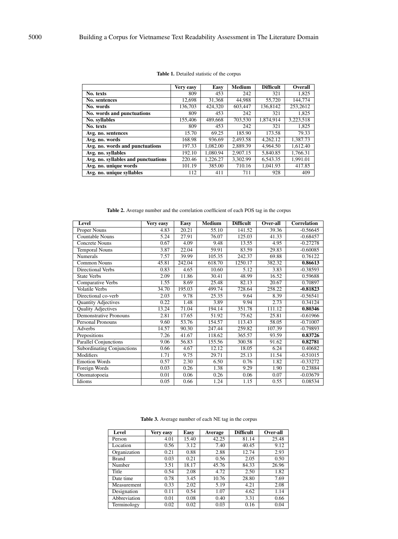|                                     | Very easy | Easy     | <b>Medium</b> | <b>Difficult</b> | Overall   |
|-------------------------------------|-----------|----------|---------------|------------------|-----------|
| No. texts                           | 809       | 453      | 242           | 321              | 1.825     |
| No. sentences                       | 12.698    | 31,368   | 44,988        | 55,720           | 144,774   |
| No. words                           | 136,703   | 424,320  | 603,447       | 136,8142         | 253,2612  |
| No. words and punctuations          | 809       | 453      | 242           | 321              | 1,825     |
| No. syllables                       | 155,406   | 489,668  | 703,530       | 1,874,914        | 3,223,518 |
| No. texts                           | 809       | 453      | 242           | 321              | 1,825     |
| Avg. no. sentences                  | 15.70     | 69.25    | 185.90        | 173.58           | 79.33     |
| Avg. no. words                      | 168.98    | 936.69   | 2.493.58      | 4,262.12         | 1,387.73  |
| Avg. no. words and punctuations     | 197.33    | 1.082.00 | 2,889.39      | 4.964.50         | 1.612.40  |
| Avg. no. syllables                  | 192.10    | 1.080.94 | 2.907.15      | 5,840.85         | 1.766.31  |
| Avg. no. syllables and punctuations | 220.46    | 1,226.27 | 3.302.99      | 6.543.35         | 1.991.01  |
| Avg. no. unique words               | 101.19    | 385.00   | 710.16        | 1.041.93         | 417.85    |
| Avg. no. unique syllables           | 112       | 411      | 711           | 928              | 409       |

#### Table 1. Detailed statistic of the corpus

Table 2. Average number and the correlation coefficient of each POS tag in the corpus

| Level                             | Very easy | Easy                | <b>Medium</b> | <b>Difficult</b> | Over-all | <b>Correlation</b> |
|-----------------------------------|-----------|---------------------|---------------|------------------|----------|--------------------|
| Proper Nouns                      | 4.83      | 20.21               | 55.10         | 141.52           | 39.36    | $-0.56645$         |
| <b>Countable Nouns</b>            | 5.24      | 27.91               | 76.07         | 125.03           | 41.33    | $-0.68457$         |
| <b>Concrete Nouns</b>             | 0.67      | 4.09                | 9.48          | 13.55            | 4.95     | $-0.27278$         |
| <b>Temporal Nouns</b>             | 3.87      | 22.04               | 59.91         | 83.59            | 29.83    | $-0.60085$         |
| Numerals                          | 7.57      | 39.99               | 105.35        | 242.37           | 69.88    | 0.76122            |
| <b>Common Nouns</b>               | 45.81     | $\overline{242.04}$ | 618.70        | 1250.17          | 382.32   | 0.86613            |
| Directional Verbs                 | 0.83      | 4.65                | 10.60         | 5.12             | 3.83     | $-0.38593$         |
| <b>State Verbs</b>                | 2.09      | 11.86               | 30.41         | 48.99            | 16.52    | 0.59688            |
| Comparative Verbs                 | 1.55      | 8.69                | 25.48         | 82.13            | 20.67    | 0.70897            |
| <b>Volatile Verbs</b>             | 34.70     | 195.03              | 499.74        | 728.64           | 258.22   | $-0.81823$         |
| Directional co-verb               | 2.03      | 9.78                | 25.35         | 9.64             | 8.39     | $-0.56541$         |
| <b>Quantity Adjectives</b>        | 0.22      | 1.48                | 3.89          | 9.94             | 2.73     | 0.34124            |
| <b>Quality Adjectives</b>         | 13.24     | 71.04               | 194.14        | 351.78           | 111.12   | 0.80346            |
| <b>Demonstrative Pronouns</b>     | 2.81      | 17.65               | 51.92         | 75.62            | 25.81    | $-0.61966$         |
| <b>Personal Pronouns</b>          | 9.60      | 53.76               | 154.57        | 113.43           | 58.05    | $-0.71007$         |
| Adverbs                           | 14.57     | 90.30               | 247.44        | 259.82           | 107.39   | $-0.79893$         |
| Prepositions                      | 7.26      | 41.67               | 118.62        | 365.57           | 93.59    | 0.83726            |
| <b>Parallel Conjunctions</b>      | 9.06      | 56.83               | 155.56        | 300.58           | 91.62    | 0.82781            |
| <b>Subordinating Conjunctions</b> | 0.66      | 4.67                | 12.12         | 18.05            | 6.24     | 0.40682            |
| Modifiers                         | 1.71      | 9.75                | 29.71         | 25.13            | 11.54    | $-0.51015$         |
| <b>Emotion Words</b>              | 0.57      | 2.30                | 6.50          | 0.76             | 1.82     | $-0.33272$         |
| Foreign Words                     | 0.03      | 0.26                | 1.38          | 9.29             | 1.90     | 0.23884            |
| Onomatopoeia                      | 0.01      | 0.06                | 0.26          | 0.06             | 0.07     | $-0.03679$         |
| Idioms                            | 0.05      | 0.66                | 1.24          | 1.15             | 0.55     | 0.08534            |

| Level        | Very easy | Easy  | Average | <b>Difficult</b> | Over-all |
|--------------|-----------|-------|---------|------------------|----------|
| Person       | 4.01      | 15.40 | 42.25   | 81.14            | 25.48    |
| Location     | 0.56      | 3.12  | 7.40    | 40.45            | 9.12     |
| Organization | 0.21      | 0.88  | 2.88    | 12.74            | 2.93     |
| <b>Brand</b> | 0.03      | 0.21  | 0.56    | 2.05             | 0.50     |
| Number       | 3.51      | 18.17 | 45.76   | 84.33            | 26.96    |
| Title        | 0.54      | 2.08  | 4.72    | 2.50             | 1.82     |
| Date time    | 0.78      | 3.45  | 10.76   | 28.80            | 7.69     |
| Measurement  | 0.33      | 2.02  | 5.19    | 4.21             | 2.08     |
| Designation  | 0.11      | 0.54  | 1.07    | 4.62             | 1.14     |
| Abbreviation | 0.01      | 0.08  | 0.40    | 3.31             | 0.66     |
| Terminology  | 0.02      | 0.02  | 0.03    | 0.16             | 0.04     |

Table 3. Average number of each NE tag in the corpus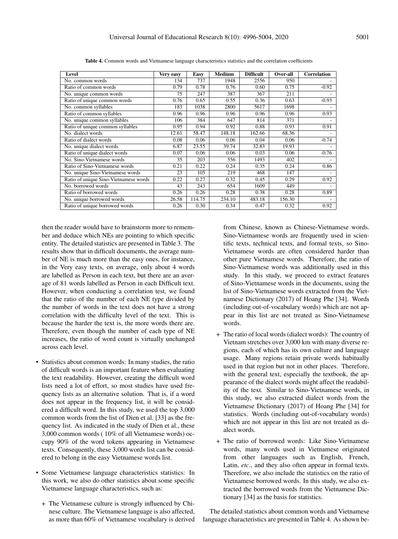| Level                                 | Very easy | <b>Easy</b> | <b>Medium</b> | <b>Difficult</b> | Over-all | <b>Correlation</b> |
|---------------------------------------|-----------|-------------|---------------|------------------|----------|--------------------|
| No. common words                      | 134       | 737         | 1948          | 2556             | 950      |                    |
| Ratio of common words                 | 0.79      | 0.78        | 0.76          | 0.60             | 0.75     | $-0.92$            |
| No. unique common words               | 75        | 247         | 387           | 367              | 211      |                    |
| Ratio of unique common words          | 0.76      | 0.65        | 0.55          | 0.36             | 0.63     | $-0.93$            |
| No. common syllables                  | 183       | 1038        | 2800          | 5617             | 1698     |                    |
| Ratio of common syllables             | 0.96      | 0.96        | 0.96          | 0.96             | 0.96     | 0.93               |
| No. unique common syllables           | 106       | 384         | 647           | 814              | 371      |                    |
| Ratio of unique common syllables      | 0.95      | 0.94        | 0.92          | 0.88             | 0.93     | 0.91               |
| No. dialect words                     | 12.61     | 58.47       | 148.18        | 162.66           | 68.36    |                    |
| Ratio of dialect words                | 0.08      | 0.06        | 0.06          | 0.04             | 0.06     | $-0.74$            |
| No. unique dialect words              | 6.87      | 23.55       | 39.74         | 32.83            | 19.93    |                    |
| Ratio of unique dialect words         | 0.07      | 0.06        | 0.06          | 0.03             | 0.06     | $-0.76$            |
| No. Sino-Vietnamese words             | 35        | 203         | 556           | 1493             | 402      |                    |
| Ratio of Sino-Vietnamese words        | 0.21      | 0.22        | 0.24          | 0.35             | 0.24     | 0.86               |
| No. unique Sino-Vietnamese words      | 23        | 105         | 219           | 468              | 147      |                    |
| Ratio of unique Sino-Vietnamese words | 0.22      | 0.27        | 0.32          | 0.45             | 0.29     | 0.92               |
| No. borrowed words                    | 43        | 243         | 654           | 1609             | 449      |                    |
| Ratio of borrowed words               | 0.26      | 0.26        | 0.28          | 0.38             | 0.28     | 0.89               |
| No. unique borrowed words             | 26.58     | 114.75      | 234.10        | 483.18           | 156.30   |                    |
| Ratio of unique borrowed words        | 0.26      | 0.30        | 0.34          | 0.47             | 0.32     | 0.92               |

Table 4. Common words and Vietnamese language characteristics statistics and the correlation coefficients

then the reader would have to brainstorm more to remember and deduce which NEs are pointing to which specific entity. The detailed statistics are presented in Table 3. The results show that in difficult documents, the average number of NE is much more than the easy ones, for instance, in the Very easy texts, on average, only about 4 words are labelled as Person in each text, but there are an average of 81 words labelled as Person in each Difficult text. However, when conducting a correlation test, we found that the ratio of the number of each NE type divided by the number of words in the text does not have a strong correlation with the difficulty level of the text. This is because the harder the text is, the more words there are. Therefore, even though the number of each type of NE increases, the ratio of word count is virtually unchanged across each level.

- Statistics about common words: In many studies, the ratio of difficult words is an important feature when evaluating the text readability. However, creating the difficult word lists need a lot of effort, so most studies have used frequency lists as an alternative solution. That is, if a word does not appear in the frequency list, it will be considered a difficult word. In this study, we used the top 3,000 common words from the list of Dien et al. [33] as the frequency list. As indicated in the study of Dien et al., these 3,000 common words ( 10% of all Vietnamese words) occupy 90% of the word tokens appearing in Vietnamese texts. Consequently, these 3,000 words list can be considered to belong in the easy Vietnamese words list.
- Some Vietnamese language characteristics statistics: In this work, we also do other statistics about some specific Vietnamese language characteristics, such as:
	- + The Vietnamese culture is strongly influenced by Chinese culture. The Vietnamese language is also affected, as more than 60% of Vietnamese vocabulary is derived

from Chinese, known as Chinese-Vietnamese words. Sino-Vietnamese words are frequently used in scientific texts, technical texts, and formal texts, so Sino-Vietnamese words are often considered harder than other pure Vietnamese words. Therefore, the ratio of Sino-Vietnamese words was additionally used in this study. In this study, we proceed to extract features of Sino-Vietnamese words in the documents, using the list of Sino-Vietnamese words extracted from the Vietnamese Dictionary (2017) of Hoang Phe [34]. Words (including out-of-vocabulary words) which are not appear in this list are not treated as Sino-Vietnamese words.

- + The ratio of local words (dialect words): The country of Vietnam stretches over 3,000 km with many diverse regions, each of which has its own culture and language usage. Many regions retain private words habitually used in that region but not in other places. Therefore, with the general text, especially the textbook, the appearance of the dialect words might affect the readability of the text. Similar to Sino-Vietnamese words, in this study, we also extracted dialect words from the Vietnamese Dictionary (2017) of Hoang Phe [34] for statistics. Words (including out-of-vocabulary words) which are not appear in this list are not treated as dialect words.
- + The ratio of borrowed words: Like Sino-Vietnamese words, many words used in Vietnamese originated from other languages such as English, French, Latin, *etc*., and they also often appear in formal texts. Therefore, we also include the statistics on the ratio of Vietnamese borrowed words. In this study, we also extracted the borrowed words from the Vietnamese Dictionary [34] as the basis for statistics.

The detailed statistics about common words and Vietnamese language characteristics are presented in Table 4. As shown be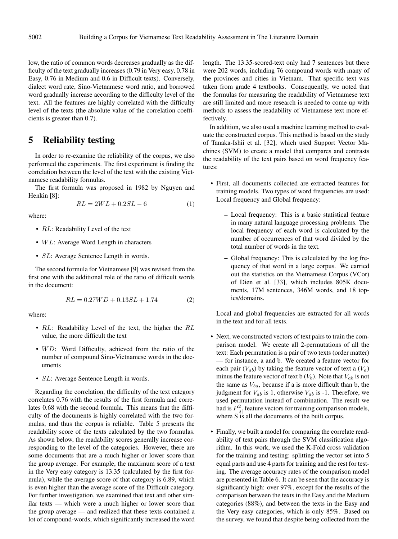low, the ratio of common words decreases gradually as the difficulty of the text gradually increases (0.79 in Very easy, 0.78 in Easy, 0.76 in Medium and 0.6 in Difficult texts). Conversely, dialect word rate, Sino-Vietnamese word ratio, and borrowed word gradually increase according to the difficulty level of the text. All the features are highly correlated with the difficulty level of the texts (the absolute value of the correlation coefficients is greater than 0.7).

## 5 Reliability testing

In order to re-examine the reliability of the corpus, we also performed the experiments. The first experiment is finding the correlation between the level of the text with the existing Vietnamese readability formulas.

The first formula was proposed in 1982 by Nguyen and Henkin [8]:

$$
RL = 2WL + 0.2SL - 6\tag{1}
$$

where:

- RL: Readability Level of the text
- $WL$ : Average Word Length in characters
- *SL*: Average Sentence Length in words.

The second formula for Vietnamese [9] was revised from the first one with the additional role of the ratio of difficult words in the document:

$$
RL = 0.27WD + 0.13SL + 1.74
$$
 (2)

where:

- RL: Readability Level of the text, the higher the RL value, the more difficult the text
- $WD$ : Word Difficulty, achieved from the ratio of the number of compound Sino-Vietnamese words in the documents
- *SL*: Average Sentence Length in words.

Regarding the correlation, the difficulty of the text category correlates 0.76 with the results of the first formula and correlates 0.68 with the second formula. This means that the difficulty of the documents is highly correlated with the two formulas, and thus the corpus is reliable. Table 5 presents the readability score of the texts calculated by the two formulas. As shown below, the readability scores generally increase corresponding to the level of the categories. However, there are some documents that are a much higher or lower score than the group average. For example, the maximum score of a text in the Very easy category is 13.35 (calculated by the first formula), while the average score of that category is 6.89, which is even higher than the average score of the Difficult category. For further investigation, we examined that text and other similar texts — which were a much higher or lower score than the group average — and realized that these texts contained a lot of compound-words, which significantly increased the word

length. The 13.35-scored-text only had 7 sentences but there were 202 words, including 76 compound words with many of the provinces and cities in Vietnam. That specific text was taken from grade 4 textbooks. Consequently, we noted that the formulas for measuring the readability of Vietnamese text are still limited and more research is needed to come up with methods to assess the readability of Vietnamese text more effectively.

In addition, we also used a machine learning method to evaluate the constructed corpus. This method is based on the study of Tanaka-Ishii et al. [32], which used Support Vector Machines (SVM) to create a model that compares and contrasts the readability of the text pairs based on word frequency features:

- First, all documents collected are extracted features for training models. Two types of word frequencies are used: Local frequency and Global frequency:
	- Local frequency: This is a basic statistical feature in many natural language processing problems. The local frequency of each word is calculated by the number of occurrences of that word divided by the total number of words in the text.
	- Global frequency: This is calculated by the log frequency of that word in a large corpus. We carried out the statistics on the Vietnamese Corpus (VCor) of Dien et al. [33], which includes 805K documents, 17M sentences, 346M words, and 18 topics/domains.

Local and global frequencies are extracted for all words in the text and for all texts.

- Next, we constructed vectors of text pairs to train the comparison model. We create all 2-permutations of all the text: Each permutation is a pair of two texts (order matter) — for instance, a and b. We created a feature vector for each pair  $(V_{ab})$  by taking the feature vector of text a  $(V_a)$ minus the feature vector of text b  $(V_b)$ . Note that  $V_{ab}$  is not the same as  $V_{ba}$ , because if a is more difficult than b, the judgment for  $V_{ab}$  is 1, otherwise  $V_{ab}$  is -1. Therefore, we used permutation instead of combination. The result we had is  $P_{|s|}^2$  feature vectors for training comparison models, where S is all the documents of the built corpus.
- Finally, we built a model for comparing the correlate readability of text pairs through the SVM classification algorithm. In this work, we used the K-Fold cross validation for the training and testing: splitting the vector set into 5 equal parts and use 4 parts for training and the rest for testing. The average accuracy rates of the comparison model are presented in Table 6. It can be seen that the accuracy is significantly high: over 97%, except for the results of the comparison between the texts in the Easy and the Medium categories (88%), and between the texts in the Easy and the Very easy categories, which is only 85%. Based on the survey, we found that despite being collected from the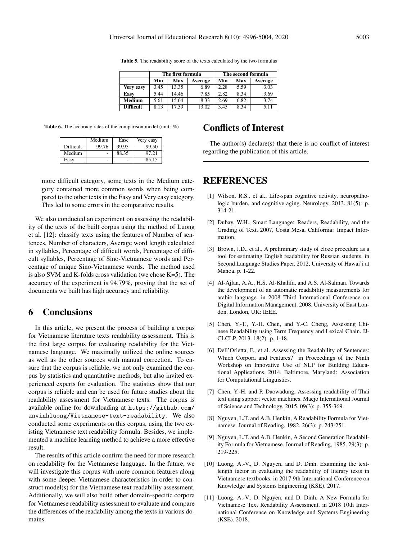|                  |      | The first formula |         | The second formula |      |         |  |
|------------------|------|-------------------|---------|--------------------|------|---------|--|
|                  | Min  | <b>Max</b>        | Average | Min                | Max  | Average |  |
| Very easy        | 3.45 | 13.35             | 6.89    | 2.28               | 5.59 | 3.03    |  |
| Easy             | 5.44 | 14.46             | 7.85    | 2.82               | 8.34 | 3.69    |  |
| <b>Medium</b>    | 5.61 | 15.64             | 8.33    | 2.69               | 6.82 | 3.74    |  |
| <b>Difficult</b> | 8.13 | 17.59             | 13.02   | 3.45               | 8.34 | 5.11    |  |

Table 5. The readability score of the texts calculated by the two formulas

Table 6. The accuracy rates of the comparison model (unit: %)

|                  | Medium | Ease  | Very easy |
|------------------|--------|-------|-----------|
| <b>Difficult</b> | 99.76  | 99.95 | 99.50     |
| Medium           |        | 88.35 | 97.21     |
| Easy             |        |       | 85.15     |

more difficult category, some texts in the Medium category contained more common words when being compared to the other texts in the Easy and Very easy category. This led to some errors in the comparative results.

We also conducted an experiment on assessing the readability of the texts of the built corpus using the method of Luong et al. [12]: classify texts using the features of Number of sentences, Number of characters, Average word length calculated in syllables, Percentage of difficult words, Percentage of difficult syllables, Percentage of Sino-Vietnamese words and Percentage of unique Sino-Vietnamese words. The method used is also SVM and K-folds cross validation (we chose K=5). The accuracy of the experiment is 94.79%, proving that the set of documents we built has high accuracy and reliability.

## 6 Conclusions

In this article, we present the process of building a corpus for Vietnamese literature texts readability assessment. This is the first large corpus for evaluating readability for the Vietnamese language. We maximally utilized the online sources as well as the other sources with manual correction. To ensure that the corpus is reliable, we not only examined the corpus by statistics and quantitative methods, but also invited experienced experts for evaluation. The statistics show that our corpus is reliable and can be used for future studies about the readability assessment for Vietnamese texts. The corpus is available online for downloading at https://github.com/ anvinhluong/Vietnamese-text-readability. We also conducted some experiments on this corpus, using the two existing Vietnamese text readability formula. Besides, we implemented a machine learning method to achieve a more effective result.

The results of this article confirm the need for more research on readability for the Vietnamese language. In the future, we will investigate this corpus with more common features along with some deeper Vietnamese characteristics in order to construct model(s) for the Vietnamese text readability assessment. Additionally, we will also build other domain-specific corpora for Vietnamese readability assessment to evaluate and compare the differences of the readability among the texts in various domains.

# Conflicts of Interest

The author(s) declare(s) that there is no conflict of interest regarding the publication of this article.

## REFERENCES

- [1] Wilson, R.S., et al., Life-span cognitive activity, neuropathologic burden, and cognitive aging. Neurology, 2013. 81(5): p. 314-21.
- [2] Dubay, W.H., Smart Language: Readers, Readability, and the Grading of Text. 2007, Costa Mesa, California: Impact Information.
- [3] Brown, J.D., et al., A preliminary study of cloze procedure as a tool for estimating English readability for Russian students, in Second Language Studies Paper. 2012, University of Hawai'i at Manoa. p. 1-22.
- [4] Al-Ajlan, A.A., H.S. Al-Khalifa, and A.S. Al-Salman. Towards the development of an automatic readability measurements for arabic language. in 2008 Third International Conference on Digital Information Management. 2008. University of East London, London, UK: IEEE.
- [5] Chen, Y.-T., Y.-H. Chen, and Y.-C. Cheng, Assessing Chinese Readability using Term Frequency and Lexical Chain. IJ-CLCLP, 2013. 18(2): p. 1-18.
- [6] Dell'Orletta, F., et al. Assessing the Readability of Sentences: Which Corpora and Features? in Proceedings of the Ninth Workshop on Innovative Use of NLP for Building Educational Applications. 2014. Baltimore, Maryland: Association for Computational Linguistics.
- [7] Chen, Y.-H. and P. Daowadung, Assessing readability of Thai text using support vector machines. Maejo International Journal of Science and Technology, 2015. 09(3): p. 355-369.
- [8] Nguyen, L.T. and A.B. Henkin, A Readability Formula for Vietnamese. Journal of Reading, 1982. 26(3): p. 243-251.
- [9] Nguyen, L.T. and A.B. Henkin, A Second Generation Readability Formula for Vietnamese. Journal of Reading, 1985. 29(3): p. 219-225.
- [10] Luong, A.-V., D. Nguyen, and D. Dinh. Examining the textlength factor in evaluating the readability of literary texts in Vietnamese textbooks. in 2017 9th International Conference on Knowledge and Systems Engineering (KSE). 2017.
- [11] Luong, A.-V., D. Nguyen, and D. Dinh. A New Formula for Vietnamese Text Readability Assessment. in 2018 10th International Conference on Knowledge and Systems Engineering (KSE). 2018.